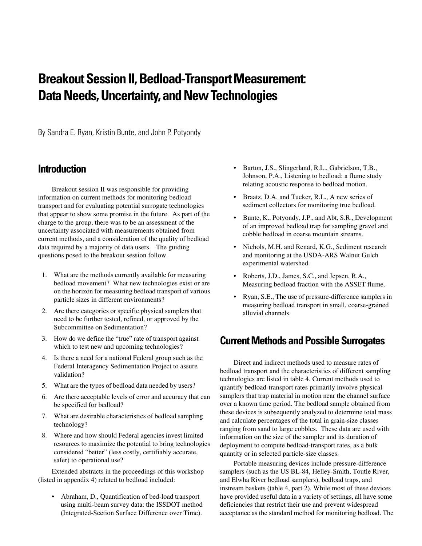# **Breakout Session II, Bedload-Transport Measurement: Data Needs, Uncertainty, and New Technologies**

By Sandra E. Ryan, Kristin Bunte, and John P. Potyondy

## **Introduction**

Breakout session II was responsible for providing information on current methods for monitoring bedload transport and for evaluating potential surrogate technologies that appear to show some promise in the future. As part of the charge to the group, there was to be an assessment of the uncertainty associated with measurements obtained from current methods, and a consideration of the quality of bedload data required by a majority of data users. The guiding questions posed to the breakout session follow.

- 1. What are the methods currently available for measuring bedload movement? What new technologies exist or are on the horizon for measuring bedload transport of various particle sizes in different environments?
- 2. Are there categories or specific physical samplers that need to be further tested, refined, or approved by the Subcommittee on Sedimentation?
- 3. How do we define the "true" rate of transport against which to test new and upcoming technologies?
- 4. Is there a need for a national Federal group such as the Federal Interagency Sedimentation Project to assure validation?
- 5. What are the types of bedload data needed by users?
- 6. Are there acceptable levels of error and accuracy that can be specified for bedload?
- 7. What are desirable characteristics of bedload sampling technology?
- 8. Where and how should Federal agencies invest limited resources to maximize the potential to bring technologies considered "better" (less costly, certifiably accurate, safer) to operational use?

Extended abstracts in the proceedings of this workshop (listed in appendix 4) related to bedload included:

• Abraham, D., Quantification of bed-load transport using multi-beam survey data: the ISSDOT method (Integrated-Section Surface Difference over Time).

- Barton, J.S., Slingerland, R.L., Gabrielson, T.B., Johnson, P.A., Listening to bedload: a flume study relating acoustic response to bedload motion.
- Braatz, D.A. and Tucker, R.L., A new series of sediment collectors for monitoring true bedload.
- Bunte, K., Potyondy, J.P., and Abt, S.R., Development of an improved bedload trap for sampling gravel and cobble bedload in coarse mountain streams.
- Nichols, M.H. and Renard, K.G., Sediment research and monitoring at the USDA-ARS Walnut Gulch experimental watershed.
- Roberts, J.D., James, S.C., and Jepsen, R.A., Measuring bedload fraction with the ASSET flume.
- Ryan, S.E., The use of pressure-difference samplers in measuring bedload transport in small, coarse-grained alluvial channels.

# **Current Methods and Possible Surrogates**

Direct and indirect methods used to measure rates of bedload transport and the characteristics of different sampling technologies are listed in table 4. Current methods used to quantify bedload-transport rates primarily involve physical samplers that trap material in motion near the channel surface over a known time period. The bedload sample obtained from these devices is subsequently analyzed to determine total mass and calculate percentages of the total in grain-size classes ranging from sand to large cobbles. These data are used with information on the size of the sampler and its duration of deployment to compute bedload-transport rates, as a bulk quantity or in selected particle-size classes.

Portable measuring devices include pressure-difference samplers (such as the US BL-84, Helley-Smith, Toutle River, and Elwha River bedload samplers), bedload traps, and instream baskets (table 4, part 2). While most of these devices have provided useful data in a variety of settings, all have some deficiencies that restrict their use and prevent widespread acceptance as the standard method for monitoring bedload. The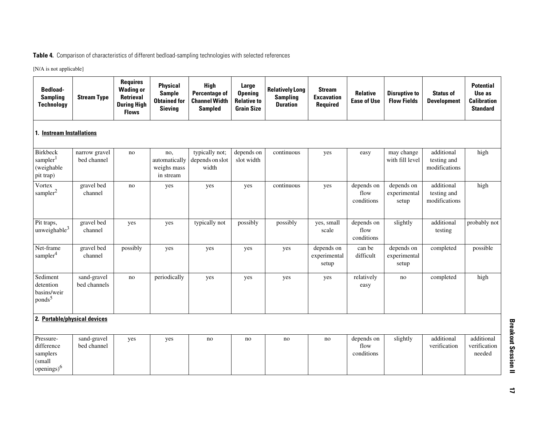### **Table 4.** Comparison of characteristics of different bedload-sampling technologies with selected references

[N/A is not applicable]

| <b>Bedload-</b><br><b>Sampling</b><br><b>Technology</b>            | <b>Stream Type</b>           | <b>Requires</b><br><b>Wading or</b><br>Retrieval<br><b>During High</b><br><b>Flows</b> | <b>Physical</b><br><b>Sample</b><br><b>Obtained for</b><br><b>Sieving</b> | High<br><b>Percentage of</b><br><b>Channel Width</b><br><b>Sampled</b> | Large<br><b>Opening</b><br><b>Relative to</b><br><b>Grain Size</b> | <b>Relatively Long</b><br><b>Sampling</b><br><b>Duration</b> | <b>Stream</b><br><b>Excavation</b><br>Required | <b>Relative</b><br><b>Ease of Use</b> | <b>Disruptive to</b><br><b>Flow Fields</b> | <b>Status of</b><br><b>Development</b>     | <b>Potential</b><br>Use as<br><b>Calibration</b><br><b>Standard</b> |
|--------------------------------------------------------------------|------------------------------|----------------------------------------------------------------------------------------|---------------------------------------------------------------------------|------------------------------------------------------------------------|--------------------------------------------------------------------|--------------------------------------------------------------|------------------------------------------------|---------------------------------------|--------------------------------------------|--------------------------------------------|---------------------------------------------------------------------|
| 1. Instream Installations                                          |                              |                                                                                        |                                                                           |                                                                        |                                                                    |                                                              |                                                |                                       |                                            |                                            |                                                                     |
| <b>Birkbeck</b><br>sampler <sup>1</sup><br>(weighable<br>pit trap) | narrow gravel<br>bed channel | no                                                                                     | no.<br>automatically<br>weighs mass<br>in stream                          | typically not;<br>depends on slot<br>width                             | depends on<br>slot width                                           | continuous                                                   | yes                                            | easy                                  | may change<br>with fill level              | additional<br>testing and<br>modifications | high                                                                |
| Vortex<br>$\mbox{ sampler}^2$                                      | gravel bed<br>channel        | no                                                                                     | yes                                                                       | yes                                                                    | yes                                                                | continuous                                                   | yes                                            | depends on<br>flow<br>conditions      | depends on<br>experimental<br>setup        | additional<br>testing and<br>modifications | high                                                                |
| Pit traps,<br>unweighable <sup>3</sup>                             | gravel bed<br>channel        | yes                                                                                    | yes                                                                       | typically not                                                          | possibly                                                           | possibly                                                     | yes, small<br>scale                            | depends on<br>flow<br>conditions      | slightly                                   | additional<br>testing                      | probably not                                                        |
| Net-frame<br>sampler <sup>4</sup>                                  | gravel bed<br>channel        | possibly                                                                               | yes                                                                       | yes                                                                    | yes                                                                | yes                                                          | depends on<br>experimental<br>setup            | can be<br>difficult                   | depends on<br>experimental<br>setup        | completed                                  | possible                                                            |
| Sediment<br>detention<br>basins/weir<br>ponds <sup>5</sup>         | sand-gravel<br>bed channels  | no                                                                                     | periodically                                                              | yes                                                                    | yes                                                                | yes                                                          | yes                                            | relatively<br>easy                    | no                                         | completed                                  | high                                                                |
| 2. Portable/physical devices                                       |                              |                                                                                        |                                                                           |                                                                        |                                                                    |                                                              |                                                |                                       |                                            |                                            |                                                                     |
| Pressure-<br>difference<br>samplers<br>(small<br>$openings)^6$     | sand-gravel<br>bed channel   | yes                                                                                    | yes                                                                       | no                                                                     | no                                                                 | no                                                           | no                                             | depends on<br>flow<br>conditions      | slightly                                   | additional<br>verification                 | additional<br>verification<br>needed                                |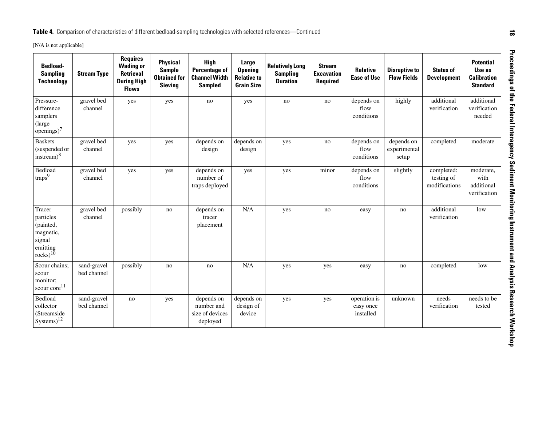| <b>Bedload-</b><br><b>Sampling</b><br><b>Technology</b>                                  | <b>Stream Type</b>         | <b>Requires</b><br><b>Wading or</b><br>Retrieval<br><b>During High</b><br><b>Flows</b> | <b>Physical</b><br><b>Sample</b><br><b>Obtained for</b><br><b>Sieving</b> | <b>High</b><br><b>Percentage of</b><br><b>Channel Width</b><br><b>Sampled</b> | <b>Large</b><br><b>Opening</b><br><b>Relative to</b><br><b>Grain Size</b> | <b>Relatively Long</b><br><b>Sampling</b><br><b>Duration</b> | <b>Stream</b><br><b>Excavation</b><br>Required | <b>Relative</b><br><b>Ease of Use</b>  | <b>Disruptive to</b><br><b>Flow Fields</b> | <b>Status of</b><br><b>Development</b>    | <b>Potential</b><br>Use as<br><b>Calibration</b><br><b>Standard</b> |
|------------------------------------------------------------------------------------------|----------------------------|----------------------------------------------------------------------------------------|---------------------------------------------------------------------------|-------------------------------------------------------------------------------|---------------------------------------------------------------------------|--------------------------------------------------------------|------------------------------------------------|----------------------------------------|--------------------------------------------|-------------------------------------------|---------------------------------------------------------------------|
| Pressure-<br>difference<br>samplers<br>(large<br>openings) $7$                           | gravel bed<br>channel      | yes                                                                                    | yes                                                                       | no                                                                            | yes                                                                       | no                                                           | no                                             | depends on<br>flow<br>conditions       | highly                                     | additional<br>verification                | additional<br>verification<br>needed                                |
| <b>Baskets</b><br>(suspended or<br>instream) <sup>8</sup>                                | gravel bed<br>channel      | yes                                                                                    | yes                                                                       | depends on<br>design                                                          | depends on<br>design                                                      | yes                                                          | no                                             | depends on<br>flow<br>conditions       | depends on<br>experimental<br>setup        | completed                                 | moderate                                                            |
| Bedload<br>traps <sup>9</sup>                                                            | gravel bed<br>channel      | yes                                                                                    | yes                                                                       | depends on<br>number of<br>traps deployed                                     | yes                                                                       | yes                                                          | minor                                          | depends on<br>flow<br>conditions       | slightly                                   | completed:<br>testing of<br>modifications | moderate,<br>with<br>additional<br>verification                     |
| Tracer<br>particles<br>(painted,<br>magnetic,<br>signal<br>emitting<br>rocks) $1\bar{0}$ | gravel bed<br>channel      | possibly                                                                               | no                                                                        | depends on<br>tracer<br>placement                                             | N/A                                                                       | yes                                                          | no                                             | easy                                   | no                                         | additional<br>verification                | low                                                                 |
| Scour chains;<br>scour<br>monitor;<br>scour $core^{11}$                                  | sand-gravel<br>bed channel | possibly                                                                               | no                                                                        | no                                                                            | N/A                                                                       | yes                                                          | yes                                            | easy                                   | no                                         | completed                                 | low                                                                 |
| Bedload<br>collector<br>(Streamside<br>$Systems)^{12}$                                   | sand-gravel<br>bed channel | no                                                                                     | yes                                                                       | depends on<br>number and<br>size of devices<br>deployed                       | depends on<br>design of<br>device                                         | yes                                                          | yes                                            | operation is<br>easy once<br>installed | unknown                                    | needs<br>verification                     | needs to be<br>tested                                               |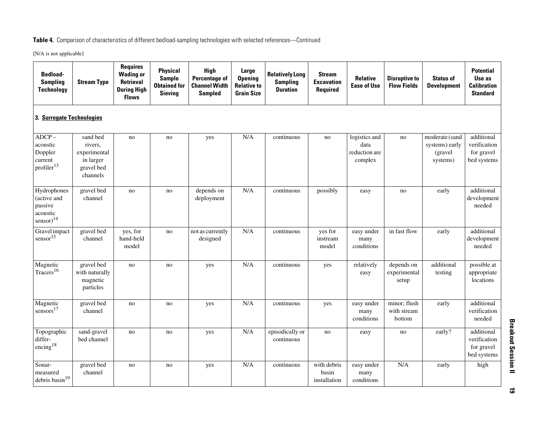### **Table 4.** Comparison of characteristics of different bedload-sampling technologies with selected references—Continued

[N/A is not applicable]

| <b>Bedload-</b><br><b>Sampling</b><br><b>Technology</b>                     | <b>Stream Type</b>                                                         | <b>Requires</b><br><b>Wading or</b><br>Retrieval<br><b>During High</b><br><b>Flows</b> | <b>Physical</b><br><b>Sample</b><br><b>Obtained for</b><br><b>Sieving</b> | <b>High</b><br><b>Percentage of</b><br><b>Channel Width</b><br><b>Sampled</b> | Large<br><b>Opening</b><br><b>Relative to</b><br><b>Grain Size</b> | <b>Relatively Long</b><br><b>Sampling</b><br><b>Duration</b> | <b>Stream</b><br><b>Excavation</b><br>Required | <b>Relative</b><br><b>Ease of Use</b>             | <b>Disruptive to</b><br><b>Flow Fields</b> | <b>Status of</b><br><b>Development</b>                   | <b>Potential</b><br>Use as<br><b>Calibration</b><br><b>Standard</b> |
|-----------------------------------------------------------------------------|----------------------------------------------------------------------------|----------------------------------------------------------------------------------------|---------------------------------------------------------------------------|-------------------------------------------------------------------------------|--------------------------------------------------------------------|--------------------------------------------------------------|------------------------------------------------|---------------------------------------------------|--------------------------------------------|----------------------------------------------------------|---------------------------------------------------------------------|
| 3. Surrogate Technologies                                                   |                                                                            |                                                                                        |                                                                           |                                                                               |                                                                    |                                                              |                                                |                                                   |                                            |                                                          |                                                                     |
| $ADCP -$<br>acoustic<br>Doppler<br>current<br>profiler <sup>13</sup>        | sand bed<br>rivers,<br>experimental<br>in larger<br>gravel bed<br>channels | no                                                                                     | no                                                                        | yes                                                                           | $\rm N/A$                                                          | continuous                                                   | no                                             | logistics and<br>data<br>reduction are<br>complex | no                                         | moderate (sand<br>systems) early<br>(gravel)<br>systems) | additional<br>verification<br>for gravel<br>bed systems             |
| Hydrophones<br>(active and<br>passive<br>acoustic<br>$sensor$ <sup>14</sup> | gravel bed<br>channel                                                      | no                                                                                     | no                                                                        | depends on<br>deployment                                                      | N/A                                                                | continuous                                                   | possibly                                       | easy                                              | no                                         | early                                                    | additional<br>development<br>needed                                 |
| Gravel impact<br>sensor <sup>15</sup>                                       | gravel bed<br>channel                                                      | yes, for<br>hand-held<br>model                                                         | no                                                                        | not as currently<br>designed                                                  | N/A                                                                | continuous                                                   | yes for<br>instream<br>model                   | easy under<br>many<br>conditions                  | in fast flow                               | early                                                    | additional<br>development<br>needed                                 |
| Magnetic<br>Tracers <sup>16</sup>                                           | gravel bed<br>with naturally<br>magnetic<br>particles                      | no                                                                                     | no                                                                        | yes                                                                           | N/A                                                                | continuous                                                   | yes                                            | relatively<br>easy                                | depends on<br>experimental<br>setup        | additional<br>testing                                    | possible at<br>appropriate<br>locations                             |
| Magnetic<br>sensors <sup>17</sup>                                           | gravel bed<br>channel                                                      | $\rm no$                                                                               | no                                                                        | yes                                                                           | N/A                                                                | continuous                                                   | yes                                            | easy under<br>many<br>conditions                  | minor; flush<br>with stream<br>bottom      | early                                                    | additional<br>verification<br>needed                                |
| Topographic<br>differ-<br>encing <sup>18</sup>                              | sand-gravel<br>bed channel                                                 | no                                                                                     | no                                                                        | yes                                                                           | N/A                                                                | episodically or<br>continuous                                | no                                             | easy                                              | no                                         | early?                                                   | additional<br>verification<br>for gravel<br>bed systems             |
| Sonar-<br>$\,$ measured $\,$<br>debris $basin^{19}$                         | gravel bed<br>channel                                                      | no                                                                                     | no                                                                        | yes                                                                           | N/A                                                                | continuous                                                   | with debris<br>basin<br>installation           | easy under<br>many<br>conditions                  | N/A                                        | early                                                    | high                                                                |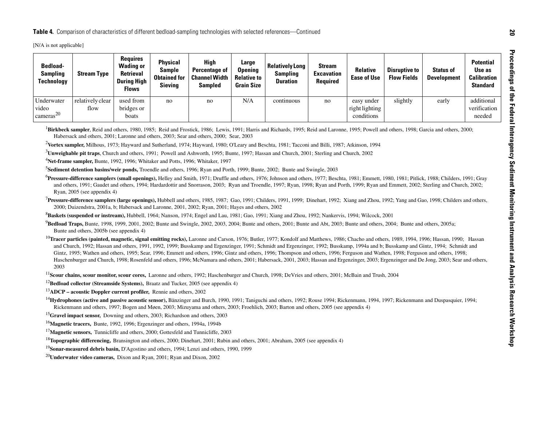| <b>Bedload-</b><br><b>Sampling</b><br><b>Technology</b> | <b>Stream Type</b>                                                                                   | <b>Requires</b><br><b>Wading or</b><br>Retrieval<br><b>During High</b><br><b>Flows</b> | <b>Physical</b><br><b>Sample</b><br><b>Obtained for</b><br><b>Sieving</b> | <b>High</b><br><b>Percentage of</b><br><b>Channel Width</b><br><b>Sampled</b>                                                                                                                                                                                                                | Large<br><b>Opening</b><br><b>Relative to</b><br><b>Grain Size</b> | <b>Relatively Long</b><br><b>Sampling</b><br><b>Duration</b>                                                                                                                                                                                                                                                                                                                                                                                                                                                                                                                                                                                                                                                                                                                                                                                                                                                                                                                                                                                                                   | <b>Stream</b><br><b>Excavation</b><br>Required | <b>Relative</b><br><b>Ease of Use</b>      | <b>Disruptive to</b><br><b>Flow Fields</b> | <b>Status of</b><br><b>Development</b> | <b>Potential</b><br>Use as<br><b>Calibration</b><br><b>Standard</b> |
|---------------------------------------------------------|------------------------------------------------------------------------------------------------------|----------------------------------------------------------------------------------------|---------------------------------------------------------------------------|----------------------------------------------------------------------------------------------------------------------------------------------------------------------------------------------------------------------------------------------------------------------------------------------|--------------------------------------------------------------------|--------------------------------------------------------------------------------------------------------------------------------------------------------------------------------------------------------------------------------------------------------------------------------------------------------------------------------------------------------------------------------------------------------------------------------------------------------------------------------------------------------------------------------------------------------------------------------------------------------------------------------------------------------------------------------------------------------------------------------------------------------------------------------------------------------------------------------------------------------------------------------------------------------------------------------------------------------------------------------------------------------------------------------------------------------------------------------|------------------------------------------------|--------------------------------------------|--------------------------------------------|----------------------------------------|---------------------------------------------------------------------|
| Underwater<br>video<br>cameras <sup>20</sup>            | relatively clear<br>flow                                                                             | used from<br>bridges or<br>boats                                                       | no                                                                        | no                                                                                                                                                                                                                                                                                           | N/A                                                                | continuous                                                                                                                                                                                                                                                                                                                                                                                                                                                                                                                                                                                                                                                                                                                                                                                                                                                                                                                                                                                                                                                                     | no                                             | easy under<br>right lighting<br>conditions | slightly                                   | early                                  | additional<br>verification<br>needed                                |
|                                                         | Ryan, 2005 (see appendix 4)                                                                          |                                                                                        |                                                                           | Habersack and others, 2001; Laronne and others, 2003; Sear and others, 2000; Sear, 2003<br><sup>4</sup> Net-frame sampler, Bunte, 1992, 1996; Whitaker and Potts, 1996; Whitaker, 1997<br>2000; Duizendstra, 2001a, b; Habersack and Laronne, 2001, 2002; Ryan, 2001; Hayes and others, 2002 |                                                                    | $2$ Vortex sampler, Milhous, 1973; Hayward and Sutherland, 1974; Hayward, 1980; O'Leary and Beschta, 1981; Tacconi and Billi, 1987; Atkinson, 1994<br>$3$ Unweighable pit traps, Church and others, 1991; Powell and Ashworth, 1995; Bunte, 1997; Hassan and Church, 2001; Sterling and Church, 2002<br><sup>5</sup> Sediment detention basins/weir ponds, Troendle and others, 1996; Ryan and Porth, 1999; Bunte, 2002; Bunte and Swingle, 2003<br><sup>6</sup> Pressure-difference samplers (small openings), Helley and Smith, 1971; Druffle and others, 1976; Johnson and others, 1977; Beschta, 1981; Emmett, 1980, 1981; Pitlick, 1988; Childers, 1991; Gray<br>and others, 1991; Gaudet and others, 1994; Hardardottir and Snorrason, 2003; Ryan and Troendle, 1997; Ryan, 1998; Ryan and Porth, 1999; Ryan and Emmett, 2002; Sterling and Church, 2002;<br><sup>7</sup> Pressure-difference samplers (large openings), Hubbell and others, 1985, 1987; Gao, 1991; Childers, 1991, 1999; Dinehart, 1992; Xiang and Zhou, 1992; Yang and Gao, 1998; Childers and others, |                                                |                                            |                                            |                                        |                                                                     |
|                                                         | Bunte and others, 2005b (see appendix 4)                                                             |                                                                                        |                                                                           |                                                                                                                                                                                                                                                                                              |                                                                    | <sup>8</sup> Baskets (suspended or instream), Hubbell, 1964; Nanson, 1974; Engel and Lau, 1981; Gao, 1991; Xiang and Zhou, 1992; Nankervis, 1994; Wilcock, 2001<br><sup>9</sup> Bedload Traps, Bunte, 1998, 1999, 2001, 2002; Bunte and Swingle, 2002, 2003, 2004; Bunte and others, 2001; Bunte and Abt, 2003; Bunte and others, 2004; Bunte and others, 2005a;                                                                                                                                                                                                                                                                                                                                                                                                                                                                                                                                                                                                                                                                                                               |                                                |                                            |                                            |                                        |                                                                     |
| 2003                                                    |                                                                                                      |                                                                                        |                                                                           |                                                                                                                                                                                                                                                                                              |                                                                    | <sup>10</sup> Tracer particles (painted, magnetic, signal emitting rocks), Laronne and Carson, 1976; Butler, 1977; Kondolf and Matthews, 1986; Chacho and others, 1989, 1994, 1996; Hassan, 1990; Hassan, 1990; Hassan, 1990; Hassan<br>and Church, 1992; Hassan and others, 1991, 1992, 1999; Busskamp and Ergenzinger, 1991; Schmidt and Ergenzinger, 1992; Busskamp, 1994a and b; Busskamp and Gintz, 1994; Schmidt and<br>Gintz, 1995; Wathen and others, 1995; Sear, 1996; Emmett and others, 1996; Gintz and others, 1996; Thompson and others, 1996; Ferguson and Wathen, 1998; Ferguson and others, 1998;<br>Haschenburger and Church, 1998; Rosenfeld and others, 1996; McNamara and others, 2001; Habersack, 2001, 2003; Hassan and Ergenzinger, 2003; Ergenzinger and De Jong, 2003; Sear and others,                                                                                                                                                                                                                                                               |                                                |                                            |                                            |                                        |                                                                     |
|                                                         |                                                                                                      |                                                                                        |                                                                           |                                                                                                                                                                                                                                                                                              |                                                                    | <sup>11</sup> Scour chains, scour monitor, scour cores, Laronne and others, 1992; Haschenburger and Church, 1998; DeVries and others, 2001; McBain and Trush, 2004                                                                                                                                                                                                                                                                                                                                                                                                                                                                                                                                                                                                                                                                                                                                                                                                                                                                                                             |                                                |                                            |                                            |                                        |                                                                     |
|                                                         |                                                                                                      |                                                                                        |                                                                           | <sup>12</sup> Bedload collector (Streamside Systems), Braatz and Tucker, 2005 (see appendix 4)                                                                                                                                                                                               |                                                                    |                                                                                                                                                                                                                                                                                                                                                                                                                                                                                                                                                                                                                                                                                                                                                                                                                                                                                                                                                                                                                                                                                |                                                |                                            |                                            |                                        |                                                                     |
|                                                         | $13$ ADCP – acoustic Doppler current profiler, Rennie and others, 2002                               |                                                                                        |                                                                           |                                                                                                                                                                                                                                                                                              |                                                                    | <sup>14</sup> Hydrophones (active and passive acoustic sensor), Bänzinger and Burch, 1990, 1991; Taniguchi and others, 1992; Rouse 1994; Rickenmann, 1994, 1997; Rickenmann and Duspasquier, 1994;<br>Rickenmann and others, 1997; Bogen and Møen, 2003; Mizuyama and others, 2003; Froehlich, 2003; Barton and others, 2005 (see appendix 4)                                                                                                                                                                                                                                                                                                                                                                                                                                                                                                                                                                                                                                                                                                                                  |                                                |                                            |                                            |                                        |                                                                     |
|                                                         | <sup>15</sup> Gravel impact sensor, Downing and others, 2003; Richardson and others, 2003            |                                                                                        |                                                                           |                                                                                                                                                                                                                                                                                              |                                                                    |                                                                                                                                                                                                                                                                                                                                                                                                                                                                                                                                                                                                                                                                                                                                                                                                                                                                                                                                                                                                                                                                                |                                                |                                            |                                            |                                        |                                                                     |
|                                                         | <sup>16</sup> Magnetic tracers, Bunte, 1992, 1996; Ergenzinger and others, 1994a, 1994b              |                                                                                        |                                                                           |                                                                                                                                                                                                                                                                                              |                                                                    |                                                                                                                                                                                                                                                                                                                                                                                                                                                                                                                                                                                                                                                                                                                                                                                                                                                                                                                                                                                                                                                                                |                                                |                                            |                                            |                                        |                                                                     |
|                                                         |                                                                                                      |                                                                                        |                                                                           | <sup>17</sup> Magnetic sensors, Tunnicliffe and others, 2000; Gottesfeld and Tunnicliffe, 2003                                                                                                                                                                                               |                                                                    |                                                                                                                                                                                                                                                                                                                                                                                                                                                                                                                                                                                                                                                                                                                                                                                                                                                                                                                                                                                                                                                                                |                                                |                                            |                                            |                                        |                                                                     |
|                                                         |                                                                                                      |                                                                                        |                                                                           |                                                                                                                                                                                                                                                                                              |                                                                    | <sup>18</sup> Topographic differencing, Bransington and others, 2000; Dinehart, 2001; Rubin and others, 2001; Abraham, 2005 (see appendix 4)                                                                                                                                                                                                                                                                                                                                                                                                                                                                                                                                                                                                                                                                                                                                                                                                                                                                                                                                   |                                                |                                            |                                            |                                        |                                                                     |
|                                                         | <sup>19</sup> Sonar-measured debris basin, D'Agostino and others, 1994; Lenzi and others, 1990, 1999 |                                                                                        |                                                                           |                                                                                                                                                                                                                                                                                              |                                                                    |                                                                                                                                                                                                                                                                                                                                                                                                                                                                                                                                                                                                                                                                                                                                                                                                                                                                                                                                                                                                                                                                                |                                                |                                            |                                            |                                        |                                                                     |

<sup>20</sup>**Underwater video cameras,** Dixon and Ryan, 2001; Ryan and Dixon, 2002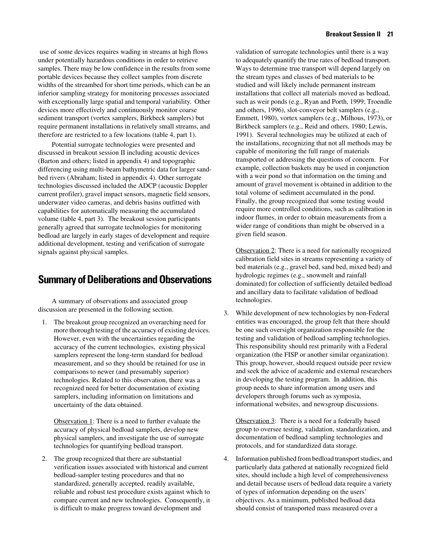use of some devices requires wading in streams at high flows under potentially hazardous conditions in order to retrieve samples. There may be low confidence in the results from some portable devices because they collect samples from discrete widths of the streambed for short time periods, which can be an inferior sampling strategy for monitoring processes associated with exceptionally large spatial and temporal variability. Other devices more effectively and continuously monitor coarse sediment transport (vortex samplers, Birkbeck samplers) but require permanent installations in relatively small streams, and therefore are restricted to a few locations (table 4, part 1).

Potential surrogate technologies were presented and discussed in breakout session II including acoustic devices (Barton and others; listed in appendix 4) and topographic differencing using multi-beam bathymetric data for larger sandbed rivers (Abraham; listed in appendix 4). Other surrogate technologies discussed included the ADCP (acoustic Doppler current profiler), gravel impact sensors, magnetic field sensors, underwater video cameras, and debris basins outfitted with capabilities for automatically measuring the accumulated volume (table 4, part 3). The breakout session participants generally agreed that surrogate technologies for monitoring bedload are largely in early stages of development and require additional development, testing and verification of surrogate signals against physical samples.

# **Summary of Deliberations and Observations**

A summary of observations and associated group discussion are presented in the following section.

1. The breakout group recognized an overarching need for more thorough testing of the accuracy of existing devices. However, even with the uncertainties regarding the accuracy of the current technologies, existing physical samplers represent the long-term standard for bedload measurement, and so they should be retained for use in comparisons to newer (and presumably superior) technologies. Related to this observation, there was a recognized need for better documentation of existing samplers, including information on limitations and uncertainty of the data obtained.

Observation 1: There is a need to further evaluate the accuracy of physical bedload samplers, develop new physical samplers, and investigate the use of surrogate technologies for quantifying bedload transport.

2. The group recognized that there are substantial verification issues associated with historical and current bedload-sampler testing procedures and that no standardized, generally accepted, readily available, reliable and robust test procedure exists against which to compare current and new technologies. Consequently, it is difficult to make progress toward development and

validation of surrogate technologies until there is a way to adequately quantify the true rates of bedload transport. Ways to determine true transport will depend largely on the stream types and classes of bed materials to be studied and will likely include permanent instream installations that collect all materials moved as bedload, such as weir ponds (e.g., Ryan and Porth, 1999; Troendle and others, 1996), slot-conveyor belt samplers (e.g., Emmett, 1980), vortex samplers (e.g., Milhous, 1973), or Birkbeck samplers (e.g., Reid and others, 1980; Lewis, 1991). Several technologies may be utilized at each of the installations, recognizing that not all methods may be capable of monitoring the full range of materials transported or addressing the questions of concern. For example, collection baskets may be used in conjunction with a weir pond so that information on the timing and amount of gravel movement is obtained in addition to the total volume of sediment accumulated in the pond. Finally, the group recognized that some testing would require more controlled conditions, such as calibration in indoor flumes, in order to obtain measurements from a wider range of conditions than might be observed in a given field season.

Observation 2: There is a need for nationally recognized calibration field sites in streams representing a variety of bed materials (e.g., gravel bed, sand bed, mixed bed) and hydrologic regimes (e.g., snowmelt and rainfall dominated) for collection of sufficiently detailed bedload and ancillary data to facilitate validation of bedload technologies.

3. While development of new technologies by non-Federal entities was encouraged, the group felt that there should be one such oversight organization responsible for the testing and validation of bedload sampling technologies. This responsibility should rest primarily with a Federal organization (the FISP or another similar organization). This group, however, should request outside peer review and seek the advice of academic and external researchers in developing the testing program. In addition, this group needs to share information among users and developers through forums such as symposia, informational websites, and newsgroup discussions.

Observation 3: There is a need for a federally based group to oversee testing, validation, standardization, and documentation of bedload sampling technologies and protocols, and for standardized data storage.

4. Information published from bedload transport studies, and particularly data gathered at nationally recognized field sites, should include a high level of comprehensiveness and detail because users of bedload data require a variety of types of information depending on the users' objectives. As a minimum, published bedload data should consist of transported mass measured over a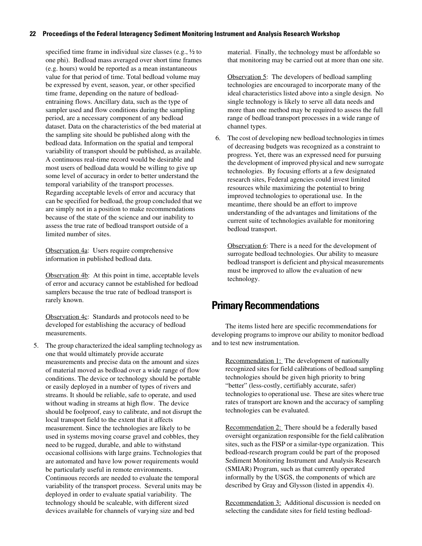specified time frame in individual size classes (e.g., ½ to one phi). Bedload mass averaged over short time frames (e.g. hours) would be reported as a mean instantaneous value for that period of time. Total bedload volume may be expressed by event, season, year, or other specified time frame, depending on the nature of bedloadentraining flows. Ancillary data, such as the type of sampler used and flow conditions during the sampling period, are a necessary component of any bedload dataset. Data on the characteristics of the bed material at the sampling site should be published along with the bedload data. Information on the spatial and temporal variability of transport should be published, as available. A continuous real-time record would be desirable and most users of bedload data would be willing to give up some level of accuracy in order to better understand the temporal variability of the transport processes. Regarding acceptable levels of error and accuracy that can be specified for bedload, the group concluded that we are simply not in a position to make recommendations because of the state of the science and our inability to assess the true rate of bedload transport outside of a limited number of sites.

Observation 4a: Users require comprehensive information in published bedload data.

Observation 4b: At this point in time, acceptable levels of error and accuracy cannot be established for bedload samplers because the true rate of bedload transport is rarely known.

Observation 4c: Standards and protocols need to be developed for establishing the accuracy of bedload measurements.

5. The group characterized the ideal sampling technology as one that would ultimately provide accurate measurements and precise data on the amount and sizes of material moved as bedload over a wide range of flow conditions. The device or technology should be portable or easily deployed in a number of types of rivers and streams. It should be reliable, safe to operate, and used without wading in streams at high flow. The device should be foolproof, easy to calibrate, and not disrupt the local transport field to the extent that it affects measurement. Since the technologies are likely to be used in systems moving coarse gravel and cobbles, they need to be rugged, durable, and able to withstand occasional collisions with large grains. Technologies that are automated and have low power requirements would be particularly useful in remote environments. Continuous records are needed to evaluate the temporal variability of the transport process. Several units may be deployed in order to evaluate spatial variability. The technology should be scaleable, with different sized devices available for channels of varying size and bed

material. Finally, the technology must be affordable so that monitoring may be carried out at more than one site.

Observation 5: The developers of bedload sampling technologies are encouraged to incorporate many of the ideal characteristics listed above into a single design. No single technology is likely to serve all data needs and more than one method may be required to assess the full range of bedload transport processes in a wide range of channel types.

6. The cost of developing new bedload technologies in times of decreasing budgets was recognized as a constraint to progress. Yet, there was an expressed need for pursuing the development of improved physical and new surrogate technologies. By focusing efforts at a few designated research sites, Federal agencies could invest limited resources while maximizing the potential to bring improved technologies to operational use. In the meantime, there should be an effort to improve understanding of the advantages and limitations of the current suite of technologies available for monitoring bedload transport.

Observation 6: There is a need for the development of surrogate bedload technologies. Our ability to measure bedload transport is deficient and physical measurements must be improved to allow the evaluation of new technology.

### **Primary Recommendations**

The items listed here are specific recommendations for developing programs to improve our ability to monitor bedload and to test new instrumentation.

Recommendation 1: The development of nationally recognized sites for field calibrations of bedload sampling technologies should be given high priority to bring "better" (less-costly, certifiably accurate, safer) technologies to operational use. These are sites where true rates of transport are known and the accuracy of sampling technologies can be evaluated.

Recommendation 2: There should be a federally based oversight organization responsible for the field calibration sites, such as the FISP or a similar-type organization. This bedload-research program could be part of the proposed Sediment Monitoring Instrument and Analysis Research (SMIAR) Program, such as that currently operated informally by the USGS, the components of which are described by Gray and Glysson (listed in appendix 4).

Recommendation 3: Additional discussion is needed on selecting the candidate sites for field testing bedload-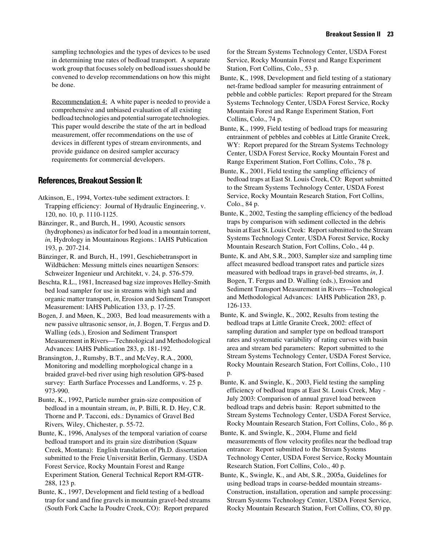sampling technologies and the types of devices to be used in determining true rates of bedload transport. A separate work group that focuses solely on bedload issues should be convened to develop recommendations on how this might be done.

Recommendation 4: A white paper is needed to provide a comprehensive and unbiased evaluation of all existing bedload technologies and potential surrogate technologies. This paper would describe the state of the art in bedload measurement, offer recommendations on the use of devices in different types of stream environments, and provide guidance on desired sampler accuracy requirements for commercial developers.

### **References, Breakout Session II:**

- Atkinson, E., 1994, Vortex-tube sediment extractors. I: Trapping efficiency: Journal of Hydraulic Engineering, v. 120, no. 10, p. 1110-1125.
- Bänzinger, R., and Burch, H., 1990, Acoustic sensors (hydrophones) as indicator for bed load in a mountain torrent, *in,* Hydrology in Mountainous Regions*.*: IAHS Publication 193, p. 207-214.
- Bänzinger, R. and Burch, H., 1991, Geschiebetransport in Wildbächen: Messung mittels eines neuartigen Sensors: Schweizer Ingenieur und Architekt, v. 24, p. 576-579.
- Beschta, R.L., 1981, Increased bag size improves Helley-Smith bed load sampler for use in streams with high sand and organic matter transport, *in*, Erosion and Sediment Transport Measurement: IAHS Publication 133, p. 17-25.
- Bogen, J. and Møen, K., 2003, Bed load measurements with a new passive ultrasonic sensor, *in*, J. Bogen, T. Fergus and D. Walling (eds.), Erosion and Sediment Transport Measurement in Rivers—Technological and Methodological Advances: IAHS Publication 283, p. 181-192.
- Bransington, J., Rumsby, B.T., and McVey, R.A., 2000, Monitoring and modelling morphological change in a braided gravel-bed river using high resolution GPS-based survey: Earth Surface Processes and Landforms, v. 25 p. 973-990.
- Bunte, K., 1992, Particle number grain-size composition of bedload in a mountain stream, *in*, P. Billi, R. D. Hey, C.R. Thorne and P. Tacconi, eds.: Dynamics of Gravel Bed Rivers*,* Wiley, Chichester, p. 55-72.

Bunte, K., 1996, Analyses of the temporal variation of coarse bedload transport and its grain size distribution (Squaw Creek, Montana): English translation of Ph.D. dissertation submitted to the Freie Universität Berlin, Germany. USDA Forest Service, Rocky Mountain Forest and Range Experiment Station*,* General Technical Report RM-GTR-288, 123 p.

Bunte, K., 1997, Development and field testing of a bedload trap for sand and fine gravels in mountain gravel-bed streams (South Fork Cache la Poudre Creek, CO): Report prepared

for the Stream Systems Technology Center, USDA Forest Service, Rocky Mountain Forest and Range Experiment Station, Fort Collins, Colo., 53 p.

- Bunte, K., 1998, Development and field testing of a stationary net-frame bedload sampler for measuring entrainment of pebble and cobble particles: Report prepared for the Stream Systems Technology Center, USDA Forest Service, Rocky Mountain Forest and Range Experiment Station, Fort Collins, Colo., 74 p.
- Bunte, K., 1999, Field testing of bedload traps for measuring entrainment of pebbles and cobbles at Little Granite Creek, WY: Report prepared for the Stream Systems Technology Center, USDA Forest Service, Rocky Mountain Forest and Range Experiment Station, Fort Collins, Colo., 78 p.
- Bunte, K., 2001, Field testing the sampling efficiency of bedload traps at East St. Louis Creek, CO: Report submitted to the Stream Systems Technology Center, USDA Forest Service, Rocky Mountain Research Station, Fort Collins, Colo., 84 p.
- Bunte, K., 2002, Testing the sampling efficiency of the bedload traps by comparison with sediment collected in the debris basin at East St. Louis Creek: Report submitted to the Stream Systems Technology Center, USDA Forest Service, Rocky Mountain Research Station, Fort Collins, Colo., 44 p.
- Bunte, K. and Abt, S.R., 2003, Sampler size and sampling time affect measured bedload transport rates and particle sizes measured with bedload traps in gravel-bed streams, *in*, J. Bogen, T. Fergus and D. Walling (eds.), Erosion and Sediment Transport Measurement in Rivers—Technological and Methodological Advances: IAHS Publication 283, p. 126-133.
- Bunte, K. and Swingle, K., 2002, Results from testing the bedload traps at Little Granite Creek, 2002: effect of sampling duration and sampler type on bedload transport rates and systematic variability of rating curves with basin area and stream bed parameters: Report submitted to the Stream Systems Technology Center, USDA Forest Service, Rocky Mountain Research Station, Fort Collins, Colo., 110  $p$ .
- Bunte, K. and Swingle, K., 2003, Field testing the sampling efficiency of bedload traps at East St. Louis Creek, May - July 2003: Comparison of annual gravel load between bedload traps and debris basin: Report submitted to the Stream Systems Technology Center, USDA Forest Service, Rocky Mountain Research Station, Fort Collins, Colo., 86 p.
- Bunte, K. and Swingle, K., 2004, Flume and field measurements of flow velocity profiles near the bedload trap entrance: Report submitted to the Stream Systems Technology Center, USDA Forest Service, Rocky Mountain Research Station, Fort Collins, Colo., 40 p.
- Bunte, K., Swingle, K., and Abt, S.R., 2005a, Guidelines for using bedload traps in coarse-bedded mountain streams-Construction, installation, operation and sample processing: Stream Systems Technology Center, USDA Forest Service, Rocky Mountain Research Station, Fort Collins, CO, 80 pp.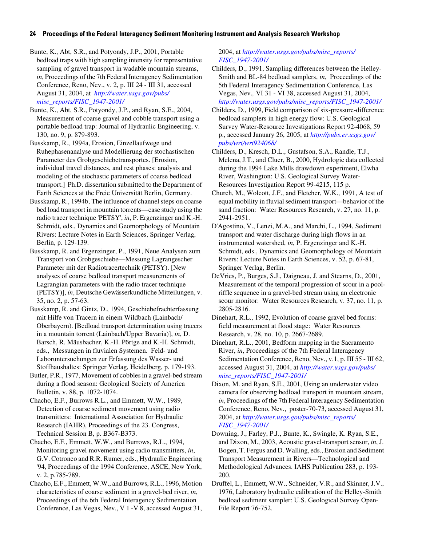Bunte, K., Abt, S.R., and Potyondy, J.P., 2001, Portable bedload traps with high sampling intensity for representative sampling of gravel transport in wadable mountain streams, *in*, Proceedings of the 7th Federal Interagency Sedimentation Conference, Reno, Nev., v. 2, p. III 24 - III 31, accessed August 31, 2004, at *[http://water.usgs.gov/pubs/](http://water.usgs.gov/pubs/misc_reports/FISC_1947-2001/) [misc\\_reports/FISC\\_1947-2001/](http://water.usgs.gov/pubs/misc_reports/FISC_1947-2001/)*

Bunte, K., Abt, S.R., Potyondy, J.P., and Ryan, S.E., 2004, Measurement of coarse gravel and cobble transport using a portable bedload trap: Journal of Hydraulic Engineering, v. 130, no. 9, p. 879-893.

Busskamp, R., 1994a, Erosion, Einzellaufwege und Ruhephasenanalyse und Modellierung der stochastischen Parameter des Grobgeschiebetransportes. [Erosion, individual travel distances, and rest phases: analysis and modeling of the stochastic parameters of coarse bedload transport.] Ph.D. dissertation submitted to the Department of Earth Sciences at the Freie Universität Berlin, Germany.

Busskamp, R., 1994b, The influence of channel steps on coarse bed load transport in mountain torrents—case study using the radio tracer technique 'PETSY', *in*, P. Ergenzinger and K.-H. Schmidt, eds., Dynamics and Geomorphology of Mountain Rivers: Lecture Notes in Earth Sciences, Springer Verlag, Berlin, p. 129-139.

Busskamp, R. and Ergenzinger, P., 1991, Neue Analysen zum Transport von Grobgeschiebe—Messung Lagrangescher Parameter mit der Radiotracertechnik (PETSY). [New analyses of coarse bedload transport measurements of Lagrangian parameters with the radio tracer technique (PETSY)], *in*, Deutsche Gewässerkundliche Mitteilungen, v. 35, no. 2, p. 57-63.

Busskamp, R. and Gintz, D., 1994, Geschiebefrachterfassung mit Hilfe von Tracern in einem Wildbach (Lainbach/ Oberbayern). [Bedload transport determination using tracers in a mountain torrent (Lainbach/Upper Bavaria)], *in*, D. Barsch, R. Mäusbacher, K.-H. Pörtge and K.-H. Schmidt, eds., Messungen in fluvialen Systemen. Feld- und Laboruntersuchungen zur Erfassung des Wasser- und Stoffhaushaltes: Springer Verlag, Heidelberg, p. 179-193.

Butler, P.R., 1977, Movement of cobbles in a gravel-bed stream during a flood season: Geological Society of America Bulletin, v. 88, p. 1072-1074.

Chacho, E.F., Burrows R.L., and Emmett, W.W., 1989, Detection of coarse sediment movement using radio transmitters: International Association for Hydraulic Research (IAHR), Proceedings of the 23. Congress, Technical Session B, p. B367-B373.

Chacho, E.F., Emmett, W.W., and Burrows, R.L., 1994, Monitoring gravel movement using radio transmitters, *in*, G.V. Cotroneo and R.R. Rumer, eds., Hydraulic Engineering '94, Proceedings of the 1994 Conference, ASCE, New York, v. 2, p.785-789.

Chacho, E.F., Emmett, W.W., and Burrows, R.L., 1996, Motion characteristics of coarse sediment in a gravel-bed river, *in*, Proceedings of the 6th Federal Interagency Sedimentation Conference, Las Vegas, Nev., V 1 -V 8, accessed August 31, 2004, at *[http://water.usgs.gov/pubs/misc\\_reports/](http://water.usgs.gov/pubs/misc_reports/FISC_1947-2001/) [FISC\\_1947-2001/](http://water.usgs.gov/pubs/misc_reports/FISC_1947-2001/)*

Childers, D., 1991, Sampling differences between the Helley-Smith and BL-84 bedload samplers, *in*, Proceedings of the 5th Federal Interagency Sedimentation Conference, Las Vegas, Nev.*,* VI 31 - VI 38, accessed August 31, 2004, *[http://water.usgs.gov/pubs/misc\\_reports/FISC\\_1947-2001/](http://water.usgs.gov/pubs/misc_reports/FISC_1947-2001/)*

Childers, D., 1999, Field comparison of six-pressure-difference bedload samplers in high energy flow: U.S. Geological Survey Water-Resource Investigations Report 92-4068, 59 p., accessed January 26, 2005, at *[http://pubs.er.usgs.gov/](http://pubs.er.usgs.gov/pubs/wri/wri924068/) [pubs/wri/wri924068/](http://pubs.er.usgs.gov/pubs/wri/wri924068/)*

Childers, D., Kresch, D.L., Gustafson, S.A., Randle, T.J., Melena, J.T., and Cluer, B., 2000, Hydrologic data collected during the 1994 Lake Mills drawdown experiment, Elwha River, Washington: U.S. Geological Survey Water-Resources Investigation Report 99-4215, 115 p.

Church, M., Wolcott, J.F., and Fletcher, W.K., 1991, A test of equal mobility in fluvial sediment transport—behavior of the sand fraction: Water Resources Research, v. 27, no. 11, p. 2941-2951.

D'Agostino, V., Lenzi, M.A., and Marchi, L., 1994, Sediment transport and water discharge during high flows in an instrumented watershed, *in*, P. Ergenzinger and K.-H. Schmidt, eds., Dynamics and Geomorphology of Mountain Rivers: Lecture Notes in Earth Sciences, v. 52, p. 67-81, Springer Verlag, Berlin.

DeVries, P., Burges, S.J., Daigneau, J. and Stearns, D., 2001, Measurement of the temporal progression of scour in a poolriffle sequence in a gravel-bed stream using an electronic scour monitor: Water Resources Research, v. 37, no. 11, p. 2805-2816.

Dinehart, R.L., 1992, Evolution of coarse gravel bed forms: field measurement at flood stage: Water Resources Research, v. 28, no. 10, p. 2667-2689.

Dinehart, R.L., 2001, Bedform mapping in the Sacramento River, *in*, Proceedings of the 7th Federal Interagency Sedimentation Conference, Reno, Nev., v.1, p. III 55 - III 62, accessed August 31, 2004, at *[http://water.usgs.gov/pubs/](http://water.usgs.gov/pubs/misc_reports/FISC_1947-2001/) [misc\\_reports/FISC\\_1947-2001/](http://water.usgs.gov/pubs/misc_reports/FISC_1947-2001/)*

Dixon, M. and Ryan, S.E., 2001, Using an underwater video camera for observing bedload transport in mountain stream, *in*, Proceedings of the 7th Federal Interagency Sedimentation Conference, Reno, Nev., poster-70-73, accessed August 31, 2004, at *[http://water.usgs.gov/pubs/misc\\_reports/](http://water.usgs.gov/pubs/misc_reports/FISC_1947-2001/) [FISC\\_1947-2001/](http://water.usgs.gov/pubs/misc_reports/FISC_1947-2001/)*

Downing, J., Farley, P.J., Bunte, K., Swingle, K. Ryan, S.E., and Dixon, M., 2003, Acoustic gravel-transport sensor, *in*, J. Bogen, T. Fergus and D. Walling, eds., Erosion and Sediment Transport Measurement in Rivers—Technological and Methodological Advances. IAHS Publication 283, p. 193- 200.

Druffel, L., Emmett, W.W., Schneider, V.R., and Skinner, J.V., 1976, Laboratory hydraulic calibration of the Helley-Smith bedload sediment sampler: U.S. Geological Survey Open-File Report 76-752.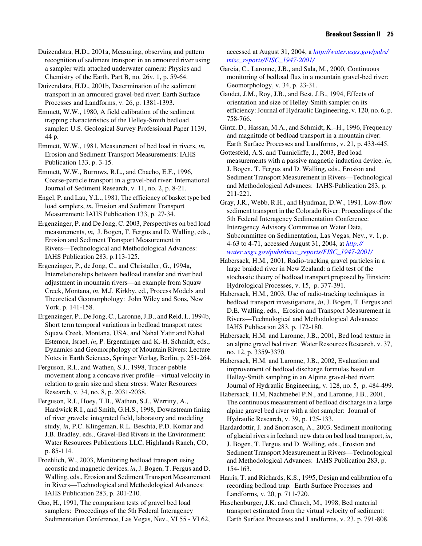Duizendstra, H.D., 2001a, Measuring, observing and pattern recognition of sediment transport in an armoured river using a sampler with attached underwater camera: Physics and Chemistry of the Earth, Part B, no. 26v. 1, p. 59-64.

Duizendstra, H.D., 2001b, Determination of the sediment transport in an armoured gravel-bed river: Earth Surface Processes and Landforms, v. 26, p. 1381-1393.

Emmett, W.W., 1980, A field calibration of the sediment trapping characteristics of the Helley-Smith bedload sampler: U.S. Geological Survey Professional Paper 1139, 44 p.

Emmett, W.W., 1981, Measurement of bed load in rivers, *in*, Erosion and Sediment Transport Measurements: IAHS Publication 133, p. 3-15.

Emmett, W.W., Burrows, R.L., and Chacho, E.F., 1996, Coarse-particle transport in a gravel-bed river: International Journal of Sediment Research, v. 11, no. 2, p. 8-21.

Engel, P. and Lau, Y.L., 1981, The efficiency of basket type bed load samplers, *in*, Erosion and Sediment Transport Measurement: IAHS Publication 133, p. 27-34.

Ergenzinger, P. and De Jong, C. 2003, Perspectives on bed load measurements, *in,* J. Bogen, T. Fergus and D. Walling, eds., Erosion and Sediment Transport Measurement in Rivers—Technological and Methodological Advances: IAHS Publication 283, p.113-125.

Ergenzinger, P., de Jong, C., and Christaller, G., 1994a, Interrelationships between bedload transfer and river bed adjustment in mountain rivers—an example from Squaw Creek, Montana, *in*, M.J. Kirkby, ed., Process Models and Theoretical Geomorphology: John Wiley and Sons, New York, p. 141-158.

Ergenzinger, P., De Jong, C., Laronne, J.B., and Reid, I., 1994b, Short term temporal variations in bedload transport rates: Squaw Creek, Montana, USA, and Nahal Yatir and Nahal Estemoa, Israel, *in*, P. Ergenzinger and K.-H. Schmidt, eds., Dynamics and Geomorphology of Mountain Rivers: Lecture Notes in Earth Sciences, Springer Verlag, Berlin, p. 251-264.

Ferguson, R.I., and Wathen, S.J., 1998, Tracer-pebble movement along a concave river profile—virtual velocity in relation to grain size and shear stress: Water Resources Research, v. 34, no. 8, p. 2031-2038.

Ferguson, R.I., Hoey, T.B., Wathen, S.J., Werritty, A., Hardwick R.I., and Smith, G.H.S., 1998, Downstream fining of river gravels: integrated field, laboratory and modeling study, *in*, P.C. Klingeman, R.L. Beschta, P.D. Komar and J.B. Bradley, eds., Gravel-Bed Rivers in the Environment: Water Resources Publications LLC, Highlands Ranch, CO, p. 85-114.

Froehlich, W., 2003, Monitoring bedload transport using acoustic and magnetic devices, *in*, J. Bogen, T. Fergus and D. Walling, eds., Erosion and Sediment Transport Measurement in Rivers—Technological and Methodological Advances: IAHS Publication 283, p. 201-210.

Gao, H., 1991, The comparison tests of gravel bed load samplers: Proceedings of the 5th Federal Interagency Sedimentation Conference, Las Vegas, Nev., VI 55 - VI 62, accessed at August 31, 2004, a *[http://water.usgs.gov/pubs/](http://water.usgs.gov/pubs/misc_reports/FISC_1947-2001) [misc\\_reports/FISC\\_1947-2001/](http://water.usgs.gov/pubs/misc_reports/FISC_1947-2001)*

Garcia, C., Laronne, J.B., and Sala, M., 2000, Continuous monitoring of bedload flux in a mountain gravel-bed river: Geomorphology, v. 34, p. 23-31.

Gaudet, J.M., Roy, J.B., and Best, J.B., 1994, Effects of orientation and size of Helley-Smith sampler on its efficiency: Journal of Hydraulic Engineering, v. 120, no. 6, p. 758-766.

Gintz, D., Hassan, M.A., and Schmidt, K.–H., 1996, Frequency and magnitude of bedload transport in a mountain river: Earth Surface Processes and Landforms, v. 21, p. 433-445.

Gottesfeld, A.S. and Tunnicliffe, J., 2003, Bed load measurements with a passive magnetic induction device. *in*, J. Bogen, T. Fergus and D. Walling, eds., Erosion and Sediment Transport Measurement in Rivers—Technological and Methodological Advances: IAHS-Publication 283, p. 211-221.

Gray, J.R., Webb, R.H., and Hyndman, D.W., 1991, Low-flow sediment transport in the Colorado River: Proceedings of the 5th Federal Interagency Sedimentation Conference: Interagency Advisory Committee on Water Data, Subcommittee on Sedimentation, Las Vegas, Nev., v. 1, p. 4-63 to 4-71, accessed August 31, 2004, at *[http://](http://water.usgs.gov/pubs/misc_reports/FISC_1947-2001/
) [water.usgs.gov/pubs/misc\\_reports/FISC\\_1947-2001/](http://water.usgs.gov/pubs/misc_reports/FISC_1947-2001/
)*

Habersack, H.M., 2001, Radio-tracking gravel particles in a large braided river in New Zealand: a field test of the stochastic theory of bedload transport proposed by Einstein: Hydrological Processes, v. 15, p. 377-391.

Habersack, H.M., 2003, Use of radio-tracking techniques in bedload transport investigations, *in*, J. Bogen, T. Fergus and D.E. Walling, eds., Erosion and Transport Measurement in Rivers—Technological and Methodological Advances: IAHS Publication 283, p. 172-180.

Habersack, H.M. and Laronne, J.B., 2001, Bed load texture in an alpine gravel bed river: Water Resources Research, v. 37, no. 12, p. 3359-3370.

Habersack, H.M. and Laronne, J.B., 2002, Evaluation and improvement of bedload discharge formulas based on Helley-Smith sampling in an Alpine gravel-bed river: Journal of Hydraulic Engineering, v. 128, no. 5, p. 484-499.

Habersack, H.M, Nachtnebel P.N., and Laronne, J.B., 2001, The continuous measurement of bedload discharge in a large alpine gravel bed river with a slot sampler: Journal of Hydraulic Research, v. 39, p. 125-133.

Hardardottir, J. and Snorrason, A., 2003, Sediment monitoring of glacial rivers in Iceland: new data on bed load transport, *in*, J. Bogen, T. Fergus and D. Walling, eds., Erosion and Sediment Transport Measurement in Rivers—Technological and Methodological Advances: IAHS Publication 283, p. 154-163.

Harris, T. and Richards, K.S., 1995, Design and calibration of a recording bedload trap: Earth Surface Processes and Landforms*,* v. 20, p. 711-720.

Haschenburger, J.K. and Church, M., 1998, Bed material transport estimated from the virtual velocity of sediment: Earth Surface Processes and Landforms, v. 23, p. 791-808.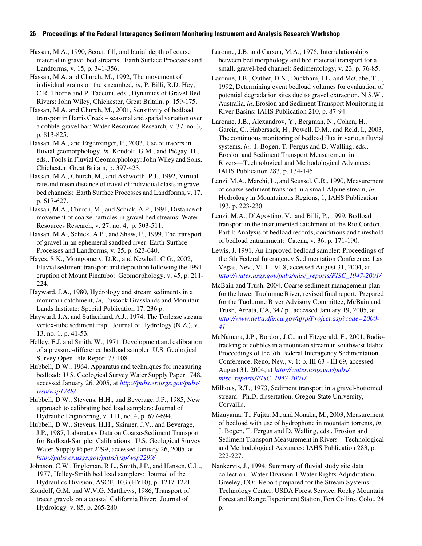Hassan, M.A., 1990, Scour, fill, and burial depth of coarse material in gravel bed streams: Earth Surface Processes and Landforms, v. 15, p. 341-356.

Hassan, M.A. and Church, M., 1992, The movement of individual grains on the streambed, *in,* P. Billi, R.D. Hey, C.R. Thorne and P. Tacconi, eds., Dynamics of Gravel Bed Rivers: John Wiley, Chichester, Great Britain, p. 159-175.

Hassan, M.A. and Church, M., 2001, Sensitivity of bedload transport in Harris Creek – seasonal and spatial variation over a cobble-gravel bar: Water Resources Research*,* v. 37, no. 3, p. 813-825.

Hassan, M.A., and Ergenzinger, P., 2003, Use of tracers in fluvial geomorphology, *in*, Kondolf, G.M., and Piégay, H., eds., Tools in Fluvial Geomorphology: John Wiley and Sons, Chichester, Great Britain, p. 397-423.

Hassan, M.A., Church, M., and Ashworth, P.J., 1992, Virtual rate and mean distance of travel of individual clasts in gravelbed channels: Earth Surface Processes and Landforms, v. 17, p. 617-627.

Hassan, M.A., Church, M., and Schick, A.P., 1991, Distance of movement of coarse particles in gravel bed streams: Water Resources Research, v. 27, no. 4, p. 503-511.

Hassan, M.A., Schick, A.P., and Shaw, P., 1999, The transport of gravel in an ephemeral sandbed river: Earth Surface Processes and Landforms, v. 25, p. 623-640.

Hayes, S.K., Montgomery, D.R., and Newhall, C.G., 2002, Fluvial sediment transport and deposition following the 1991 eruption of Mount Pinatubo: Geomorphology, v. 45, p. 211- 224.

Hayward, J.A., 1980, Hydrology and stream sediments in a mountain catchment, *in*, Tussock Grasslands and Mountain Lands Institute: Special Publication 17, 236 p.

Hayward, J.A. and Sutherland, A.J., 1974, The Torlesse stream vertex-tube sediment trap: Journal of Hydrology (N.Z.), v. 13, no. 1, p. 41-53.

Helley, E.J. and Smith, W., 1971, Development and calibration of a pressure-difference bedload sampler: U.S. Geological Survey Open-File Report 73-108.

Hubbell, D.W., 1964, Apparatus and techniques for measuring bedload: U.S. Geological Survey Water Supply Paper 1748, accessed January 26, 2005, at *[http://pubs.er.usgs.gov/pubs/](http://pubs.er.usgs.gov/pubs/wsp/wsp1748/) [wsp/wsp1748/](http://pubs.er.usgs.gov/pubs/wsp/wsp1748/)* 

Hubbell, D.W., Stevens, H.H., and Beverage, J.P., 1985, New approach to calibrating bed load samplers: Journal of Hydraulic Engineering, v. 111, no. 4, p. 677-694.

Hubbell, D.W., Stevens, H.H., Skinner, J.V., and Beverage, J.P., 1987, Laboratory Data on Coarse-Sediment Transport for Bedload-Sampler Calibrations: U.S. Geological Survey Water-Supply Paper 2299, accessed January 26, 2005, at *<http://pubs.er.usgs.gov/pubs/wsp/wsp2299/>*

Johnson, C.W., Engleman, R.L., Smith, J.P., and Hansen, C.L., 1977, Helley-Smith bed load samplers: Journal of the Hydraulics Division, ASCE*,* 103 (HY10), p. 1217-1221.

Kondolf, G.M. and W.V.G. Matthews, 1986, Transport of tracer gravels on a coastal California River: Journal of Hydrology*,* v. 85, p. 265-280.

Laronne, J.B. and Carson, M.A., 1976, Interrelationships between bed morphology and bed material transport for a small, gravel-bed channel: Sedimentology, v. 23, p. 76-85.

Laronne, J.B., Outhet, D.N., Duckham, J.L. and McCabe, T.J., 1992, Determining event bedload volumes for evaluation of potential degradation sites due to gravel extraction, N.S.W., Australia, *in*, Erosion and Sediment Transport Monitoring in River Basins: IAHS Publication 210, p. 87-94.

Laronne, J.B., Alexandrov, Y., Bergman, N., Cohen, H., Garcia, C., Habersack, H., Powell, D.M., and Reid, I., 2003, The continuous monitoring of bedload flux in various fluvial systems, *in*, J. Bogen, T. Fergus and D. Walling, eds., Erosion and Sediment Transport Measurement in Rivers—Technological and Methodological Advances: IAHS Publication 283, p. 134-145.

Lenzi, M.A., Marchi, L., and Scussel, G.R., 1990, Measurement of coarse sediment transport in a small Alpine stream, *in*, Hydrology in Mountainous Regions, 1, IAHS Publication 193, p. 223-230.

Lenzi, M.A., D'Agostino, V., and Billi, P., 1999, Bedload transport in the instrumented catchment of the Rio Cordon. Part I: Analysis of bedload records, conditions and threshold of bedload entrainment: Catena, v. 36, p. 171-190.

Lewis, J. 1991, An improved bedload sampler: Proceedings of the 5th Federal Interagency Sedimentation Conference, Las Vegas, Nev., VI 1 - VI 8, accessed August 31, 2004, at *[http://water.usgs.gov/pubs/misc\\_reports/FISC\\_1947-2001/](http://water.usgs.gov/pubs/misc_reports/FISC_1947-2001/)*

McBain and Trush, 2004, Coarse sediment management plan for the lower Tuolumne River, revised final report. Prepared for the Tuolumne River Advisory Committee, McBain and Trush, Arcata, CA, 347 p., accessed January 19, 2005, at *[http://www.delta.dfg.ca.gov/afrp/Project.asp?code=2000-](http://www.delta.dfg.ca.gov/afrp/Project.asp?code=2000-41) 41*

McNamara, J.P., Bordon, J.C., and Fitzgerald, F., 2001, Radiotracking of cobbles in a mountain stream in southwest Idaho: Proceedings of the 7th Federal Interagency Sedimentation Conference, Reno, Nev*.*, v. 1: p. III 63 - III 69, accessed August 31, 2004, at *[http://water.usgs.gov/pubs/](http://water.usgs.gov/pubs/misc_reports/FISC_1947-2001/) [misc\\_reports/FISC\\_1947-2001/](http://water.usgs.gov/pubs/misc_reports/FISC_1947-2001/)*

Milhous, R.T., 1973, Sediment transport in a gravel-bottomed stream: Ph.D. dissertation, Oregon State University, Corvallis.

Mizuyama, T., Fujita, M., and Nonaka, M., 2003, Measurement of bedload with use of hydrophone in mountain torrents, *in*, J. Bogen, T. Fergus and D. Walling, eds., Erosion and Sediment Transport Measurement in Rivers—Technological and Methodological Advances: IAHS Publication 283, p. 222-227.

Nankervis, J., 1994, Summary of fluvial study site data collection. Water Division 1 Water Rights Adjudication, Greeley, CO: Report prepared for the Stream Systems Technology Center, USDA Forest Service, Rocky Mountain Forest and Range Experiment Station, Fort Collins, Colo., 24 p.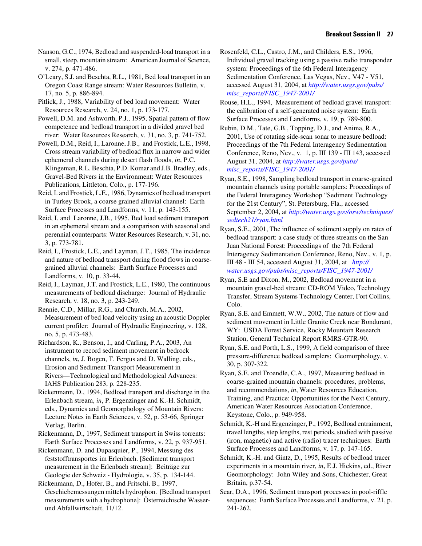Nanson, G.C., 1974, Bedload and suspended-load transport in a small, steep, mountain stream: American Journal of Science, v. 274, p. 471-486.

O'Leary, S.J. and Beschta, R.L., 1981, Bed load transport in an Oregon Coast Range stream: Water Resources Bulletin, v. 17, no. 5, p. 886-894.

Pitlick, J., 1988, Variability of bed load movement: Water Resources Research, v. 24, no. 1, p. 173-177.

Powell, D.M. and Ashworth, P.J., 1995, Spatial pattern of flow competence and bedload transport in a divided gravel bed river: Water Resources Research, v. 31, no. 3, p. 741-752.

Powell, D.M., Reid, I., Laronne, J.B., and Frostick, L.E., 1998, Cross stream variability of bedload flux in narrow and wider ephemeral channels during desert flash floods, *in*, P.C. Klingeman, R.L. Beschta, P.D. Komar and J.B. Bradley, eds., Gravel-Bed Rivers in the Environment: Water Resources Publications, Littleton, Colo., p. 177-196.

Reid, I. and Frostick, L.E., 1986, Dynamics of bedload transport in Turkey Brook, a coarse grained alluvial channel: Earth Surface Processes and Landforms, v. 11, p. 143-155.

Reid, I. and Laronne, J.B., 1995, Bed load sediment transport in an ephemeral stream and a comparison with seasonal and perennial counterparts: Water Resources Research, v. 31, no. 3, p. 773-781.

Reid, I., Frostick, L.E., and Layman, J.T., 1985, The incidence and nature of bedload transport during flood flows in coarsegrained alluvial channels: Earth Surface Processes and Landforms, v. 10, p. 33-44.

Reid, I., Layman, J.T. and Frostick, L.E., 1980, The continuous measurements of bedload discharge: Journal of Hydraulic Research, v. 18, no. 3, p. 243-249.

Rennie, C.D., Millar, R.G., and Church, M.A., 2002, Measurement of bed load velocity using an acoustic Doppler current profiler: Journal of Hydraulic Engineering, v. 128, no. 5, p. 473-483.

Richardson, K., Benson, I., and Carling, P.A., 2003, An instrument to record sediment movement in bedrock channels, *in*, J. Bogen, T. Fergus and D. Walling, eds., Erosion and Sediment Transport Measurement in Rivers—Technological and Methodological Advances: IAHS Publication 283, p. 228-235.

Rickenmann, D., 1994, Bedload transport and discharge in the Erlenbach stream, *in*, P. Ergenzinger and K.-H. Schmidt, eds., Dynamics and Geomorphology of Mountain Rivers: Lecture Notes in Earth Sciences, v. 52, p. 53-66, Springer Verlag, Berlin.

Rickenmann, D., 1997, Sediment transport in Swiss torrents: Earth Surface Processes and Landforms, v. 22, p. 937-951.

Rickenmann, D. and Dupasquier, P., 1994, Messung des feststofftransportes im Erlenbach. [Sediment transport measurement in the Erlenbach stream]: Beiträge zur Geologie der Schweiz - Hydrologie, v. 35, p. 134-144.

Rickenmann, D., Hofer, B., and Fritschi, B., 1997, Geschiebemessungen mittels hydrophon. [Bedload transport measurements with a hydrophone]: Österreichische Wasserund Abfallwirtschaft, 11/12.

Rosenfeld, C.L., Castro, J.M., and Childers, E.S., 1996, Individual gravel tracking using a passive radio transponder system: Proceedings of the 6th Federal Interagency Sedimentation Conference, Las Vegas, Nev., V47 - V51, accessed August 31, 2004, at *[http://water.usgs.gov/pubs/](http://water.usgs.gov/pubs/misc_reports/FISC_1947-2001/) [misc\\_reports/FISC\\_1947-2001/](http://water.usgs.gov/pubs/misc_reports/FISC_1947-2001/)*

Rouse, H.L., 1994, Measurement of bedload gravel transport: the calibration of a self-generated noise system: Earth Surface Processes and Landforms, v. 19, p. 789-800.

Rubin, D.M., Tate, G.B., Topping, D.J., and Anima, R.A., 2001, Use of rotating side-scan sonar to measure bedload: Proceedings of the 7th Federal Interagency Sedimentation Conference, Reno, Nev., v. 1, p. III 139 - III 143, accessed August 31, 2004, at *[http://water.usgs.gov/pubs/](http://water.usgs.gov/pubs/misc_reports/FISC_1947-2001/) [misc\\_reports/FISC\\_1947-2001/](http://water.usgs.gov/pubs/misc_reports/FISC_1947-2001/)*

Ryan, S.E., 1998, Sampling bedload transport in coarse-grained mountain channels using portable samplers: Proceedings of the Federal Interagency Workshop "Sediment Technology for the 21st Century", St. Petersburg, Fla., accessed September 2, 2004, at *[http://water.usgs.gov/osw/techniques/](http://water.usgs.gov/osw/techniques/sedtech21/ryan.html) [sedtech21/ryan.html](http://water.usgs.gov/osw/techniques/sedtech21/ryan.html)*

Ryan, S.E., 2001, The influence of sediment supply on rates of bedload transport: a case study of three streams on the San Juan National Forest: Proceedings of the 7th Federal Interagency Sedimentation Conference, Reno, Nev., v. 1, p. III 48 - III 54, accessed August 31, 2004, at *[http://](http://water.usgs.gov/pubs/misc_reports/FISC_1947-2001/) [water.usgs.gov/pubs/misc\\_reports/FISC\\_1947-2001/](http://water.usgs.gov/pubs/misc_reports/FISC_1947-2001/)*

Ryan, S.E and Dixon, M., 2002, Bedload movement in a mountain gravel-bed stream: CD-ROM Video, Technology Transfer, Stream Systems Technology Center, Fort Collins, Colo.

Ryan, S.E. and Emmett, W.W., 2002, The nature of flow and sediment movement in Little Granite Creek near Bondurant, WY: USDA Forest Service, Rocky Mountain Research Station, General Technical Report RMRS-GTR-90.

Ryan, S.E. and Porth, L.S., 1999, A field comparison of three pressure-difference bedload samplers: Geomorphology, v. 30, p. 307-322.

Ryan, S.E. and Troendle, C.A., 1997, Measuring bedload in coarse-grained mountain channels: procedures, problems, and recommendations, *in*, Water Resources Education, Training, and Practice: Opportunities for the Next Century, American Water Resources Association Conference, Keystone, Colo., p. 949-958.

Schmidt, K.-H and Ergenzinger, P., 1992, Bedload entrainment, travel lengths, step lengths, rest periods, studied with passive (iron, magnetic) and active (radio) tracer techniques: Earth Surface Processes and Landforms, v. 17, p. 147-165.

Schmidt, K.-H. and Gintz, D., 1995, Results of bedload tracer experiments in a mountain river, *in*, E.J. Hickins, ed., River Geomorphology: John Wiley and Sons, Chichester, Great Britain, p.37-54.

Sear, D.A., 1996, Sediment transport processes in pool-riffle sequences: Earth Surface Processes and Landforms, v. 21, p. 241-262.